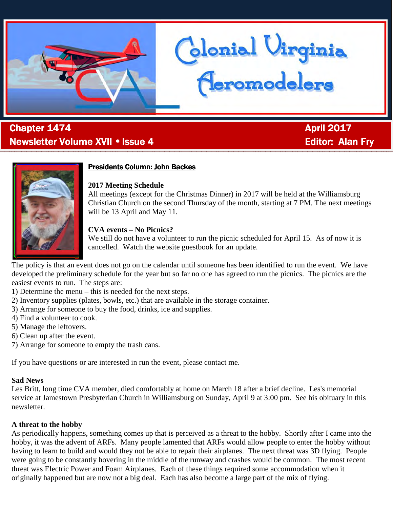

# . **Chapter 1474 Chapter 1474 April 2017** Newsletter Volume XVII • Issue 4 Editor: Alan Fry



## **Presidents Column: John Backes**

### **2017 Meeting Schedule**

All meetings (except for the Christmas Dinner) in 2017 will be held at the Williamsburg Christian Church on the second Thursday of the month, starting at 7 PM. The next meetings will be 13 April and May 11.

Glonial Uirginia<br>Heromodelers

## **CVA events – No Picnics?**

We still do not have a volunteer to run the picnic scheduled for April 15. As of now it is cancelled. Watch the website guestbook for an update.

The policy is that an event does not go on the calendar until someone has been identified to run the event. We have developed the preliminary schedule for the year but so far no one has agreed to run the picnics. The picnics are the easiest events to run. The steps are:

- 1) Determine the menu this is needed for the next steps.
- 2) Inventory supplies (plates, bowls, etc.) that are available in the storage container.
- 3) Arrange for someone to buy the food, drinks, ice and supplies.
- 4) Find a volunteer to cook.
- 5) Manage the leftovers.
- 6) Clean up after the event.
- 7) Arrange for someone to empty the trash cans.

If you have questions or are interested in run the event, please contact me.

### **Sad News**

Les Britt, long time CVA member, died comfortably at home on March 18 after a brief decline. Les's memorial service at Jamestown Presbyterian Church in Williamsburg on Sunday, April 9 at 3:00 pm. See his obituary in this newsletter.

## **A threat to the hobby**

As periodically happens, something comes up that is perceived as a threat to the hobby. Shortly after I came into the hobby, it was the advent of ARFs. Many people lamented that ARFs would allow people to enter the hobby without having to learn to build and would they not be able to repair their airplanes. The next threat was 3D flying. People were going to be constantly hovering in the middle of the runway and crashes would be common. The most recent threat was Electric Power and Foam Airplanes. Each of these things required some accommodation when it originally happened but are now not a big deal. Each has also become a large part of the mix of flying.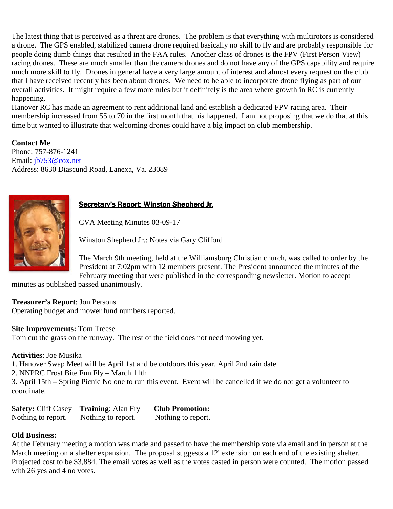The latest thing that is perceived as a threat are drones. The problem is that everything with multirotors is considered a drone. The GPS enabled, stabilized camera drone required basically no skill to fly and are probably responsible for people doing dumb things that resulted in the FAA rules. Another class of drones is the FPV (First Person View) racing drones. These are much smaller than the camera drones and do not have any of the GPS capability and require much more skill to fly. Drones in general have a very large amount of interest and almost every request on the club that I have received recently has been about drones. We need to be able to incorporate drone flying as part of our overall activities. It might require a few more rules but it definitely is the area where growth in RC is currently happening.

Hanover RC has made an agreement to rent additional land and establish a dedicated FPV racing area. Their membership increased from 55 to 70 in the first month that his happened. I am not proposing that we do that at this time but wanted to illustrate that welcoming drones could have a big impact on club membership.

**Contact Me**  Phone: 757-876-1241 Email: jb753@cox.net Address: 8630 Diascund Road, Lanexa, Va. 23089



## Secretary's Report: Winston Shepherd Jr.

CVA Meeting Minutes 03-09-17

Winston Shepherd Jr.: Notes via Gary Clifford

The March 9th meeting, held at the Williamsburg Christian church, was called to order by the President at 7:02pm with 12 members present. The President announced the minutes of the February meeting that were published in the corresponding newsletter. Motion to accept

minutes as published passed unanimously.

**Treasurer's Report**: Jon Persons

Operating budget and mower fund numbers reported.

**Site Improvements:** Tom Treese

Tom cut the grass on the runway. The rest of the field does not need mowing yet.

**Activities**: Joe Musika

1. Hanover Swap Meet will be April 1st and be outdoors this year. April 2nd rain date

2. NNPRC Frost Bite Fun Fly – March 11th

3. April 15th – Spring Picnic No one to run this event. Event will be cancelled if we do not get a volunteer to coordinate.

| <b>Safety: Cliff Casey</b> | <b>Training: Alan Fry</b> | <b>Club Promotion:</b> |
|----------------------------|---------------------------|------------------------|
| Nothing to report.         | Nothing to report.        | Nothing to report.     |

### **Old Business:**

At the February meeting a motion was made and passed to have the membership vote via email and in person at the March meeting on a shelter expansion. The proposal suggests a 12' extension on each end of the existing shelter. Projected cost to be \$3,884. The email votes as well as the votes casted in person were counted. The motion passed with 26 yes and 4 no votes.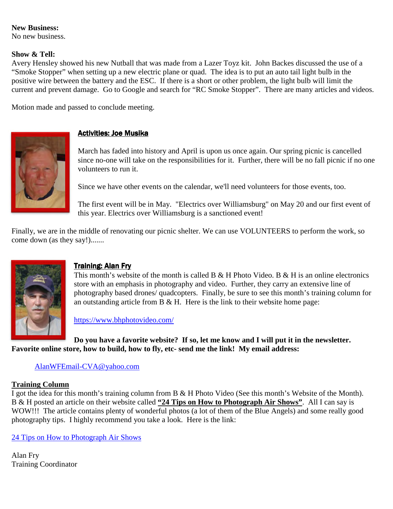## **New Business:**

No new business.

#### **Show & Tell:**

Avery Hensley showed his new Nutball that was made from a Lazer Toyz kit. John Backes discussed the use of a "Smoke Stopper" when setting up a new electric plane or quad. The idea is to put an auto tail light bulb in the positive wire between the battery and the ESC. If there is a short or other problem, the light bulb will limit the current and prevent damage. Go to Google and search for "RC Smoke Stopper". There are many articles and videos.

Motion made and passed to conclude meeting.



## **Activities: Joe Musika**

March has faded into history and April is upon us once again. Our spring picnic is cancelled since no-one will take on the responsibilities for it. Further, there will be no fall picnic if no one volunteers to run it.

Since we have other events on the calendar, we'll need volunteers for those events, too.

The first event will be in May. "Electrics over Williamsburg" on May 20 and our first event of this year. Electrics over Williamsburg is a sanctioned event!

Finally, we are in the middle of renovating our picnic shelter. We can use VOLUNTEERS to perform the work, so come down (as they say!).......



## **Training: Alan Fry**

This month's website of the month is called B & H Photo Video. B & H is an online electronics store with an emphasis in photography and video. Further, they carry an extensive line of photography based drones/ quadcopters. Finally, be sure to see this month's training column for an outstanding article from B  $\&$  H. Here is the link to their website home page:

https://www.bhphotovideo.com/

**Do you have a favorite website? If so, let me know and I will put it in the newsletter. Favorite online store, how to build, how to fly, etc- send me the link! My email address:** 

### AlanWFEmail-CVA@yahoo.com

### **Training Column**

I got the idea for this month's training column from B & H Photo Video (See this month's Website of the Month). B & H posted an article on their website called **"24 Tips on How to Photograph Air Shows"**. All I can say is WOW!!! The article contains plenty of wonderful photos (a lot of them of the Blue Angels) and some really good photography tips. I highly recommend you take a look. Here is the link:

24 Tips on How to Photograph Air Shows

Alan Fry Training Coordinator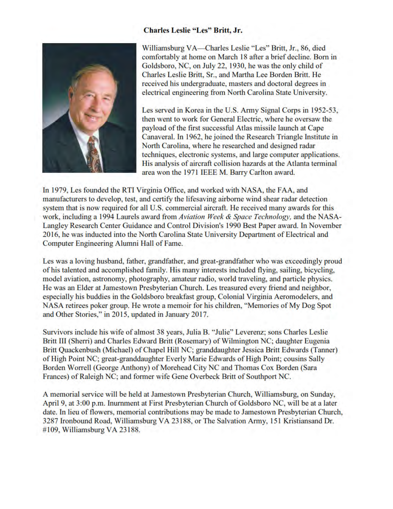#### **Charles Leslie "Les" Britt, Jr.**



Williamsburg VA—Charles Leslie "Les" Britt, Jr., 86, died comfortably at home on March 18 after a brief decline. Born in Goldsboro, NC, on July 22, 1930, he was the only child of Charles Leslie Britt, Sr., and Martha Lee Borden Britt. He received his undergraduate, masters and doctoral degrees in electrical engineering from North Carolina State University.

Les served in Korea in the U.S. Army Signal Corps in 1952-53. then went to work for General Electric, where he oversaw the payload of the first successful Atlas missile launch at Cape Canaveral. In 1962, he joined the Research Triangle Institute in North Carolina, where he researched and designed radar techniques, electronic systems, and large computer applications. His analysis of aircraft collision hazards at the Atlanta terminal area won the 1971 IEEE M. Barry Carlton award.

In 1979, Les founded the RTI Virginia Office, and worked with NASA, the FAA, and manufacturers to develop, test, and certify the lifesaving airborne wind shear radar detection system that is now required for all U.S. commercial aircraft. He received many awards for this work, including a 1994 Laurels award from Aviation Week & Space Technology, and the NASA-Langley Research Center Guidance and Control Division's 1990 Best Paper award. In November 2016, he was inducted into the North Carolina State University Department of Electrical and Computer Engineering Alumni Hall of Fame.

Les was a loving husband, father, grandfather, and great-grandfather who was exceedingly proud of his talented and accomplished family. His many interests included flying, sailing, bicycling, model aviation, astronomy, photography, amateur radio, world traveling, and particle physics. He was an Elder at Jamestown Presbyterian Church. Les treasured every friend and neighbor, especially his buddies in the Goldsboro breakfast group, Colonial Virginia Aeromodelers, and NASA retirees poker group. He wrote a memoir for his children, "Memories of My Dog Spot and Other Stories," in 2015, updated in January 2017.

Survivors include his wife of almost 38 years, Julia B. "Julie" Leverenz; sons Charles Leslie Britt III (Sherri) and Charles Edward Britt (Rosemary) of Wilmington NC; daughter Eugenia Britt Quackenbush (Michael) of Chapel Hill NC; granddaughter Jessica Britt Edwards (Tanner) of High Point NC; great-granddaughter Everly Marie Edwards of High Point; cousins Sally Borden Worrell (George Anthony) of Morehead City NC and Thomas Cox Borden (Sara Frances) of Raleigh NC; and former wife Gene Overbeck Britt of Southport NC.

A memorial service will be held at Jamestown Presbyterian Church, Williamsburg, on Sunday, April 9, at 3:00 p.m. Inurnment at First Presbyterian Church of Goldsboro NC, will be at a later date. In lieu of flowers, memorial contributions may be made to Jamestown Presbyterian Church, 3287 Ironbound Road, Williamsburg VA 23188, or The Salvation Army, 151 Kristiansand Dr. #109, Williamsburg VA 23188.